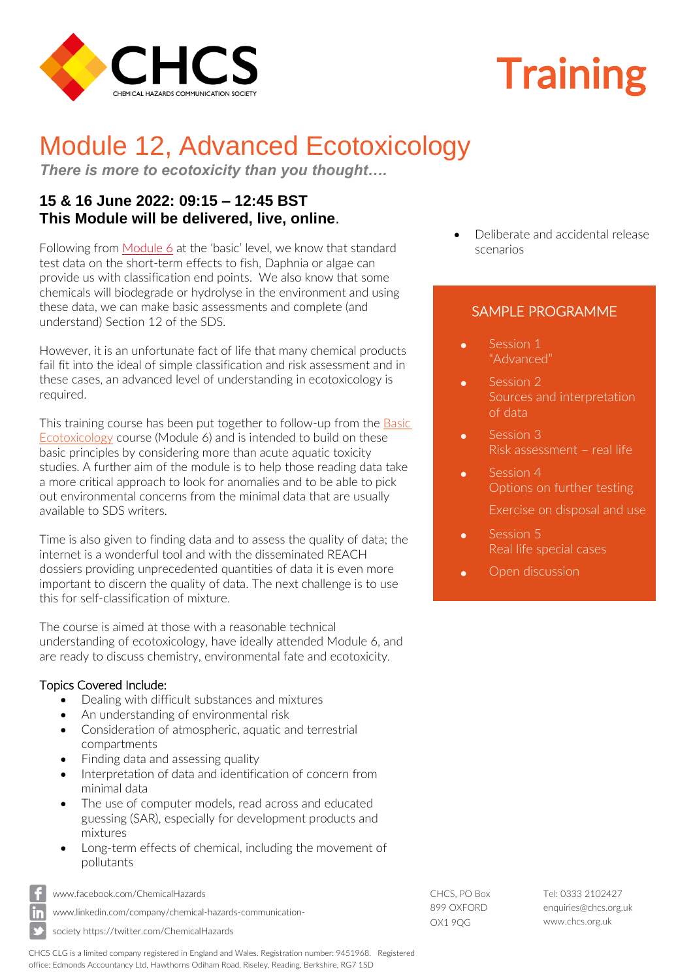

# **Training**

# Module 12, Advanced Ecotoxicology

*There is more to ecotoxicity than you thought….*

## **15 & 16 June 2022: 09:15 – 12:45 BST This Module will be delivered, live, online**.

Following from [Module 6](https://chcs.org.uk/event-4524148) at the 'basic' level, we know that standard test data on the short-term effects to fish, Daphnia or algae can provide us with classification end points. We also know that some chemicals will biodegrade or hydrolyse in the environment and using these data, we can make basic assessments and complete (and understand) Section 12 of the SDS.

However, it is an unfortunate fact of life that many chemical products fail fit into the ideal of simple classification and risk assessment and in these cases, an advanced level of understanding in ecotoxicology is required.

This training course has been put together to follow-up from the **Basic** [Ecotoxicology](https://chcs.org.uk/event-4524148) course (Module 6) and is intended to build on these basic principles by considering more than acute aquatic toxicity studies. A further aim of the module is to help those reading data take a more critical approach to look for anomalies and to be able to pick out environmental concerns from the minimal data that are usually available to SDS writers.

Time is also given to finding data and to assess the quality of data; the internet is a wonderful tool and with the disseminated REACH dossiers providing unprecedented quantities of data it is even more important to discern the quality of data. The next challenge is to use this for self-classification of mixture.

The course is aimed at those with a reasonable technical understanding of ecotoxicology, have ideally attended Module 6, and are ready to discuss chemistry, environmental fate and ecotoxicity.

#### Topics Covered Include:

- Dealing with difficult substances and mixtures
- An understanding of environmental risk
- Consideration of atmospheric, aquatic and terrestrial compartments
- Finding data and assessing quality
- Interpretation of data and identification of concern from minimal data
- The use of computer models, read across and educated guessing (SAR), especially for development products and mixtures
- Long-term effects of chemical, including the movement of pollutants



[www.facebook.com/ChemicalHazards](http://www.facebook.com/ChemicalHazards)

[www.linkedin.com/company/chemical-hazards-communication-](http://www.linkedin.com/company/chemical-hazards-communication-society)

[society](http://www.linkedin.com/company/chemical-hazards-communication-society) https://twitter.com/ChemicalHazards

CHCS, PO Box 899 OXFORD OX1 9QG

Tel: 0333 2102427 [enquiries@chcs.org.uk](mailto:enquiries@chcs.org.uk) [www.chcs.org.uk](http://www.chcs.org.uk/)

• Deliberate and accidental release scenarios

### SAMPLE PROGRAMME

- Session 1 "Advanced"
- Session 2 Sources and interpretation of data
- Session 3 Risk assessment – real life
- Session 4 Options on further testing
	- Exercise on disposal and use
- Session 5 Real life special cases
- Open discussion

CHCS CLG is a limited company registered in England and Wales. Registration number: 9451968. Registered office: Edmonds Accountancy Ltd, Hawthorns Odiham Road, Riseley, Reading, Berkshire, RG7 1SD